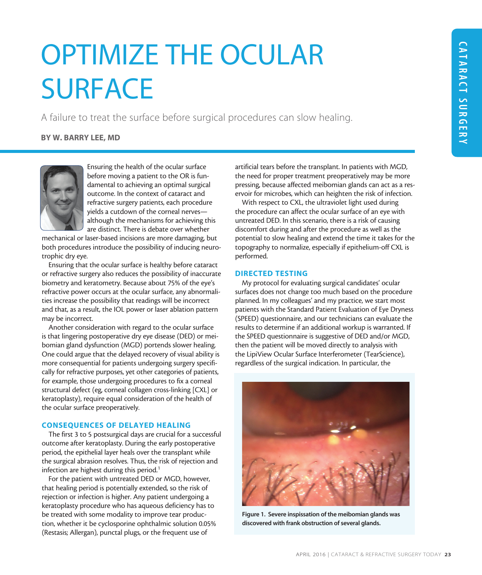# OPTIMIZE THE OCULAR SURFACE

A failure to treat the surface before surgical procedures can slow healing.

# BY W. BARRY LEE, MD



Ensuring the health of the ocular surface before moving a patient to the OR is fundamental to achieving an optimal surgical outcome. In the context of cataract and refractive surgery patients, each procedure yields a cutdown of the corneal nerves although the mechanisms for achieving this are distinct. There is debate over whether

mechanical or laser-based incisions are more damaging, but both procedures introduce the possibility of inducing neurotrophic dry eye.

Ensuring that the ocular surface is healthy before cataract or refractive surgery also reduces the possibility of inaccurate biometry and keratometry. Because about 75% of the eye's refractive power occurs at the ocular surface, any abnormalities increase the possibility that readings will be incorrect and that, as a result, the IOL power or laser ablation pattern may be incorrect.

Another consideration with regard to the ocular surface is that lingering postoperative dry eye disease (DED) or meibomian gland dysfunction (MGD) portends slower healing. One could argue that the delayed recovery of visual ability is more consequential for patients undergoing surgery specifically for refractive purposes, yet other categories of patients, for example, those undergoing procedures to fix a corneal structural defect (eg, corneal collagen cross-linking [CXL] or keratoplasty), require equal consideration of the health of the ocular surface preoperatively.

## CONSEQUENCES OF DELAYED HEALING

The first 3 to 5 postsurgical days are crucial for a successful outcome after keratoplasty. During the early postoperative period, the epithelial layer heals over the transplant while the surgical abrasion resolves. Thus, the risk of rejection and infection are highest during this period.<sup>1</sup>

For the patient with untreated DED or MGD, however, that healing period is potentially extended, so the risk of rejection or infection is higher. Any patient undergoing a keratoplasty procedure who has aqueous deficiency has to be treated with some modality to improve tear production, whether it be cyclosporine ophthalmic solution 0.05% (Restasis; Allergan), punctal plugs, or the frequent use of

artificial tears before the transplant. In patients with MGD, the need for proper treatment preoperatively may be more pressing, because affected meibomian glands can act as a reservoir for microbes, which can heighten the risk of infection.

With respect to CXL, the ultraviolet light used during the procedure can affect the ocular surface of an eye with untreated DED. In this scenario, there is a risk of causing discomfort during and after the procedure as well as the potential to slow healing and extend the time it takes for the topography to normalize, especially if epithelium-off CXL is performed.

#### DIRECTED TESTING

My protocol for evaluating surgical candidates' ocular surfaces does not change too much based on the procedure planned. In my colleagues' and my practice, we start most patients with the Standard Patient Evaluation of Eye Dryness (SPEED) questionnaire, and our technicians can evaluate the results to determine if an additional workup is warranted. If the SPEED questionnaire is suggestive of DED and/or MGD, then the patient will be moved directly to analysis with the LipiView Ocular Surface Interferometer (TearScience), regardless of the surgical indication. In particular, the



Figure 1. Severe inspissation of the meibomian glands was discovered with frank obstruction of several glands.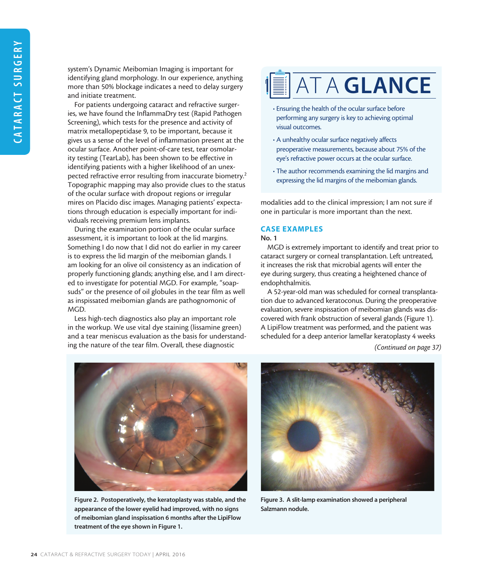system's Dynamic Meibomian Imaging is important for identifying gland morphology. In our experience, anything more than 50% blockage indicates a need to delay surgery and initiate treatment.

For patients undergoing cataract and refractive surgeries, we have found the InflammaDry test (Rapid Pathogen Screening), which tests for the presence and activity of matrix metallopeptidase 9, to be important, because it gives us a sense of the level of inflammation present at the ocular surface. Another point-of-care test, tear osmolarity testing (TearLab), has been shown to be effective in identifying patients with a higher likelihood of an unexpected refractive error resulting from inaccurate biometry.<sup>2</sup> Topographic mapping may also provide clues to the status of the ocular surface with dropout regions or irregular mires on Placido disc images. Managing patients' expectations through education is especially important for individuals receiving premium lens implants.

During the examination portion of the ocular surface assessment, it is important to look at the lid margins. Something I do now that I did not do earlier in my career is to express the lid margin of the meibomian glands. I am looking for an olive oil consistency as an indication of properly functioning glands; anything else, and I am directed to investigate for potential MGD. For example, "soapsuds" or the presence of oil globules in the tear film as well as inspissated meibomian glands are pathognomonic of MGD.

Less high-tech diagnostics also play an important role in the workup. We use vital dye staining (lissamine green) and a tear meniscus evaluation as the basis for understanding the nature of the tear film. Overall, these diagnostic



- Ensuring the health of the ocular surface before performing any surgery is key to achieving optimal visual outcomes.
- A unhealthy ocular surface negatively affects preoperative measurements, because about 75% of the eye's refractive power occurs at the ocular surface.
- The author recommends examining the lid margins and expressing the lid margins of the meibomian glands.

modalities add to the clinical impression; I am not sure if one in particular is more important than the next.

## CASE EXAMPLES

No. 1

MGD is extremely important to identify and treat prior to cataract surgery or corneal transplantation. Left untreated, it increases the risk that microbial agents will enter the eye during surgery, thus creating a heightened chance of endophthalmitis.

A 52-year-old man was scheduled for corneal transplantation due to advanced keratoconus. During the preoperative evaluation, severe inspissation of meibomian glands was discovered with frank obstruction of several glands (Figure 1). A LipiFlow treatment was performed, and the patient was scheduled for a deep anterior lamellar keratoplasty 4 weeks

*(Continued on page 37)*



Figure 2. Postoperatively, the keratoplasty was stable, and the appearance of the lower eyelid had improved, with no signs of meibomian gland inspissation 6 months after the LipiFlow treatment of the eye shown in Figure 1.



Figure 3. A slit-lamp examination showed a peripheral Salzmann nodule.